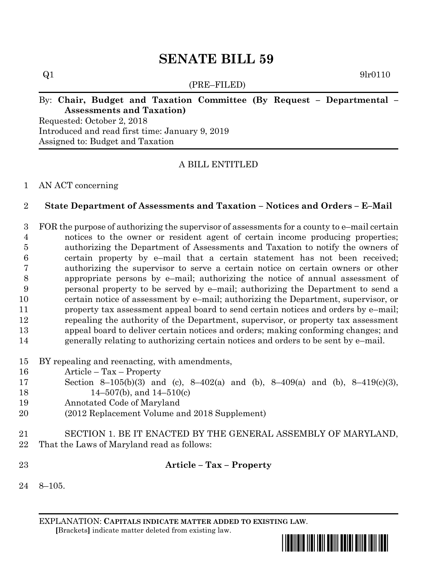# **SENATE BILL 59**

(PRE–FILED)

 $Q1$  9lr0110

# By: **Chair, Budget and Taxation Committee (By Request – Departmental – Assessments and Taxation)**

Requested: October 2, 2018 Introduced and read first time: January 9, 2019 Assigned to: Budget and Taxation

# A BILL ENTITLED

## AN ACT concerning

## **State Department of Assessments and Taxation – Notices and Orders – E–Mail**

 FOR the purpose of authorizing the supervisor of assessments for a county to e–mail certain notices to the owner or resident agent of certain income producing properties; authorizing the Department of Assessments and Taxation to notify the owners of certain property by e–mail that a certain statement has not been received; authorizing the supervisor to serve a certain notice on certain owners or other appropriate persons by e–mail; authorizing the notice of annual assessment of personal property to be served by e–mail; authorizing the Department to send a certain notice of assessment by e–mail; authorizing the Department, supervisor, or property tax assessment appeal board to send certain notices and orders by e–mail; repealing the authority of the Department, supervisor, or property tax assessment appeal board to deliver certain notices and orders; making conforming changes; and generally relating to authorizing certain notices and orders to be sent by e–mail.

- BY repealing and reenacting, with amendments,
- Article Tax Property
- Section 8–105(b)(3) and (c), 8–402(a) and (b), 8–409(a) and (b), 8–419(c)(3), 14–507(b), and 14–510(c)
- Annotated Code of Maryland
- (2012 Replacement Volume and 2018 Supplement)
- SECTION 1. BE IT ENACTED BY THE GENERAL ASSEMBLY OF MARYLAND, That the Laws of Maryland read as follows:
- **Article – Tax – Property**
- 8–105.

EXPLANATION: **CAPITALS INDICATE MATTER ADDED TO EXISTING LAW**.  **[**Brackets**]** indicate matter deleted from existing law.

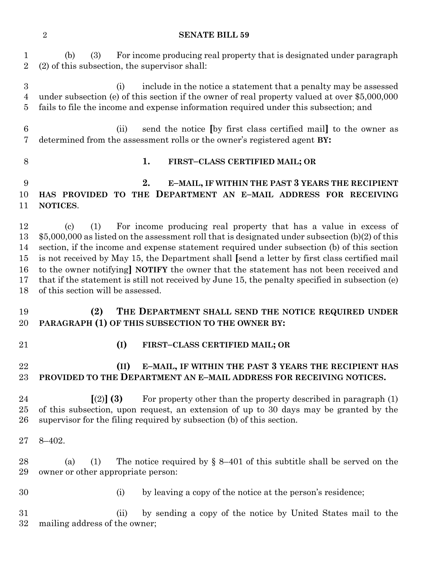#### **SENATE BILL 59**

 (b) (3) For income producing real property that is designated under paragraph (2) of this subsection, the supervisor shall:

 (i) include in the notice a statement that a penalty may be assessed under subsection (e) of this section if the owner of real property valued at over \$5,000,000 fails to file the income and expense information required under this subsection; and

 (ii) send the notice **[**by first class certified mail**]** to the owner as determined from the assessment rolls or the owner's registered agent **BY:**

## **1. FIRST–CLASS CERTIFIED MAIL; OR**

## **2. E–MAIL, IF WITHIN THE PAST 3 YEARS THE RECIPIENT HAS PROVIDED TO THE DEPARTMENT AN E–MAIL ADDRESS FOR RECEIVING NOTICES**.

 (c) (1) For income producing real property that has a value in excess of \$5,000,000 as listed on the assessment roll that is designated under subsection (b)(2) of this section, if the income and expense statement required under subsection (b) of this section is not received by May 15, the Department shall **[**send a letter by first class certified mail to the owner notifying**] NOTIFY** the owner that the statement has not been received and that if the statement is still not received by June 15, the penalty specified in subsection (e) of this section will be assessed.

- **(2) THE DEPARTMENT SHALL SEND THE NOTICE REQUIRED UNDER PARAGRAPH (1) OF THIS SUBSECTION TO THE OWNER BY:**
- 
- **(I) FIRST–CLASS CERTIFIED MAIL; OR**

## **(II) E–MAIL, IF WITHIN THE PAST 3 YEARS THE RECIPIENT HAS PROVIDED TO THE DEPARTMENT AN E–MAIL ADDRESS FOR RECEIVING NOTICES.**

- **[**(2)**] (3)** For property other than the property described in paragraph (1) of this subsection, upon request, an extension of up to 30 days may be granted by the supervisor for the filing required by subsection (b) of this section.
- 8–402.

28 (a) (1) The notice required by  $\S$  8–401 of this subtitle shall be served on the owner or other appropriate person:

- 
- (i) by leaving a copy of the notice at the person's residence;

 (ii) by sending a copy of the notice by United States mail to the mailing address of the owner;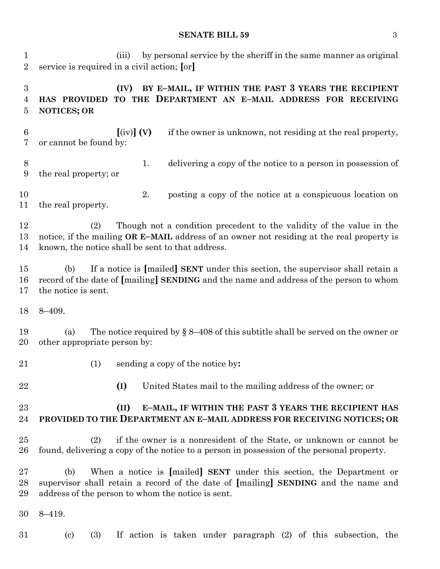### **SENATE BILL 59** 3

 (iii) by personal service by the sheriff in the same manner as original service is required in a civil action; **[**or**]**

## **(IV) BY E–MAIL, IF WITHIN THE PAST 3 YEARS THE RECIPIENT HAS PROVIDED TO THE DEPARTMENT AN E–MAIL ADDRESS FOR RECEIVING NOTICES; OR**

 **[**(iv)**] (V)** if the owner is unknown, not residing at the real property, or cannot be found by:

- 1. delivering a copy of the notice to a person in possession of the real property; or
- 2. posting a copy of the notice at a conspicuous location on the real property.

 (2) Though not a condition precedent to the validity of the value in the notice, if the mailing **OR E–MAIL** address of an owner not residing at the real property is known, the notice shall be sent to that address.

 (b) If a notice is **[**mailed**] SENT** under this section, the supervisor shall retain a record of the date of **[**mailing**] SENDING** and the name and address of the person to whom the notice is sent.

8–409.

19 (a) The notice required by  $\S 8-408$  of this subtitle shall be served on the owner or other appropriate person by:

- 
- (1) sending a copy of the notice by**:**
- 

**(I)** United States mail to the mailing address of the owner; or

# **(II) E–MAIL, IF WITHIN THE PAST 3 YEARS THE RECIPIENT HAS PROVIDED TO THE DEPARTMENT AN E–MAIL ADDRESS FOR RECEIVING NOTICES; OR**

 (2) if the owner is a nonresident of the State, or unknown or cannot be found, delivering a copy of the notice to a person in possession of the personal property.

 (b) When a notice is **[**mailed**] SENT** under this section, the Department or supervisor shall retain a record of the date of **[**mailing**] SENDING** and the name and address of the person to whom the notice is sent.

8–419.

(c) (3) If action is taken under paragraph (2) of this subsection, the